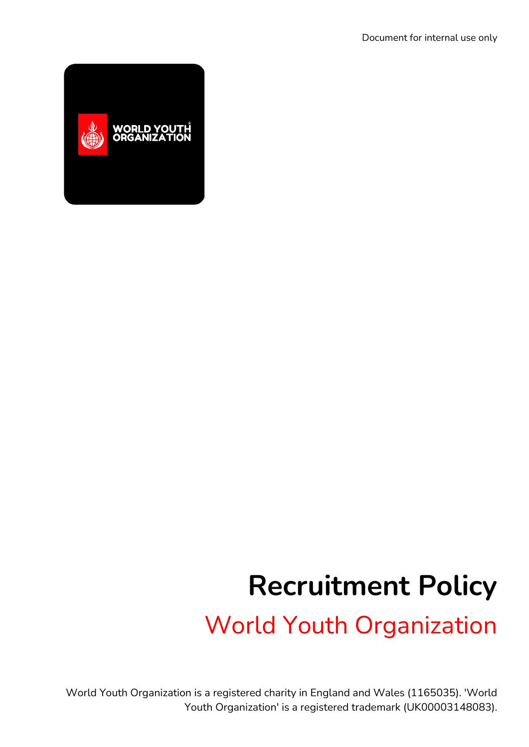

# **Recruitment Policy**

World Youth Organization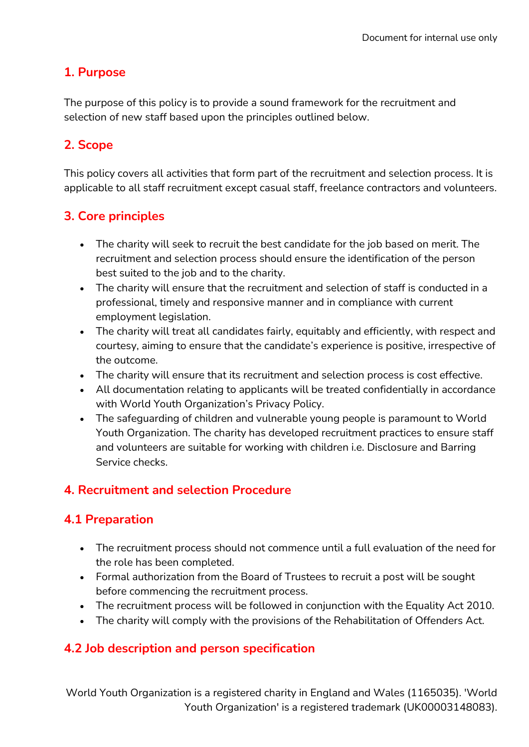## **1. Purpose**

The purpose of this policy is to provide a sound framework for the recruitment and selection of new staff based upon the principles outlined below.

## **2. Scope**

This policy covers all activities that form part of the recruitment and selection process. It is applicable to all staff recruitment except casual staff, freelance contractors and volunteers.

## **3. Core principles**

- The charity will seek to recruit the best candidate for the job based on merit. The recruitment and selection process should ensure the identification of the person best suited to the job and to the charity.
- The charity will ensure that the recruitment and selection of staff is conducted in a professional, timely and responsive manner and in compliance with current employment legislation.
- The charity will treat all candidates fairly, equitably and efficiently, with respect and courtesy, aiming to ensure that the candidate's experience is positive, irrespective of the outcome.
- The charity will ensure that its recruitment and selection process is cost effective.
- All documentation relating to applicants will be treated confidentially in accordance with World Youth Organization's Privacy Policy.
- The safeguarding of children and vulnerable young people is paramount to World Youth Organization. The charity has developed recruitment practices to ensure staff and volunteers are suitable for working with children i.e. Disclosure and Barring Service checks.

#### **4. Recruitment and selection Procedure**

#### **4.1 Preparation**

- The recruitment process should not commence until a full evaluation of the need for the role has been completed.
- Formal authorization from the Board of Trustees to recruit a post will be sought before commencing the recruitment process.
- The recruitment process will be followed in conjunction with the Equality Act 2010.
- The charity will comply with the provisions of the Rehabilitation of Offenders Act.

#### **4.2 Job description and person specification**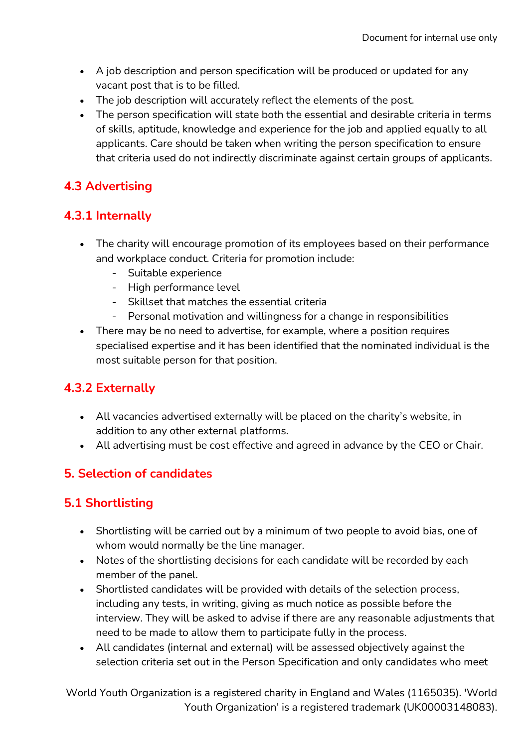- A job description and person specification will be produced or updated for any vacant post that is to be filled.
- The job description will accurately reflect the elements of the post.
- The person specification will state both the essential and desirable criteria in terms of skills, aptitude, knowledge and experience for the job and applied equally to all applicants. Care should be taken when writing the person specification to ensure that criteria used do not indirectly discriminate against certain groups of applicants.

## **4.3 Advertising**

## **4.3.1 Internally**

- The charity will encourage promotion of its employees based on their performance and workplace conduct. Criteria for promotion include:
	- Suitable experience
	- High performance level
	- Skillset that matches the essential criteria
	- Personal motivation and willingness for a change in responsibilities
- There may be no need to advertise, for example, where a position requires specialised expertise and it has been identified that the nominated individual is the most suitable person for that position.

#### **4.3.2 Externally**

- All vacancies advertised externally will be placed on the charity's website, in addition to any other external platforms.
- All advertising must be cost effective and agreed in advance by the CEO or Chair.

## **5. Selection of candidates**

## **5.1 Shortlisting**

- Shortlisting will be carried out by a minimum of two people to avoid bias, one of whom would normally be the line manager.
- Notes of the shortlisting decisions for each candidate will be recorded by each member of the panel.
- Shortlisted candidates will be provided with details of the selection process, including any tests, in writing, giving as much notice as possible before the interview. They will be asked to advise if there are any reasonable adjustments that need to be made to allow them to participate fully in the process.
- All candidates (internal and external) will be assessed objectively against the selection criteria set out in the Person Specification and only candidates who meet